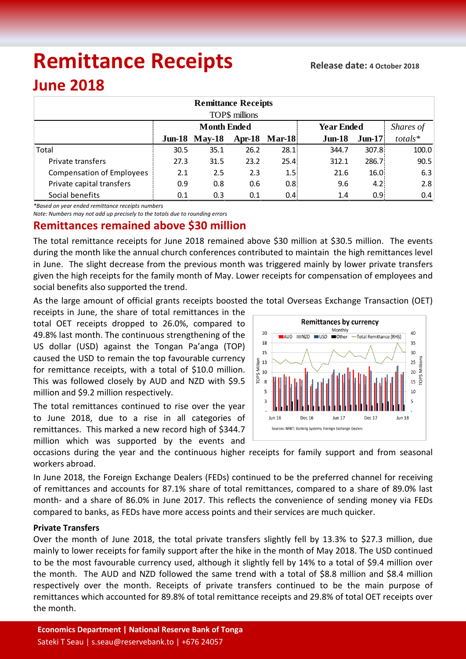# **Remittance Receipts**

## **June 2018**

| <b>Remittance Receipts</b>       |                    |                      |      |               |                   |           |           |  |  |  |  |  |
|----------------------------------|--------------------|----------------------|------|---------------|-------------------|-----------|-----------|--|--|--|--|--|
| TOP\$ millions                   |                    |                      |      |               |                   |           |           |  |  |  |  |  |
|                                  | <b>Month Ended</b> |                      |      |               | <b>Year Ended</b> |           | Shares of |  |  |  |  |  |
|                                  |                    | <b>Jun-18 May-18</b> |      | Apr-18 Mar-18 | $J$ un-18         | $J$ un-17 | $totals*$ |  |  |  |  |  |
| Total                            | 30.5               | 35.1                 | 26.2 | 28.1          | 344.7             | 307.8     | 100.0     |  |  |  |  |  |
| Private transfers                | 27.3               | 31.5                 | 23.2 | 25.4          | 312.1             | 286.7     | 90.5      |  |  |  |  |  |
| <b>Compensation of Employees</b> | 2.1                | 2.5                  | 2.3  | 1.5           | 21.6              | 16.0      | 6.3       |  |  |  |  |  |
| Private capital transfers        | 0.9                | 0.8                  | 0.6  | 0.8           | 9.6               | 4.2       | 2.8       |  |  |  |  |  |
| Social benefits                  | 0.1                | 0.3                  | 0.1  | 0.4           | 1.4               | 0.95      | 0.4       |  |  |  |  |  |

*\*Based on year ended remittance receipts numbers*

*Note: Numbers may not add up precisely to the totals due to rounding errors*

### **Remittances remained above \$30 million**

The total remittance receipts for June 2018 remained above \$30 million at \$30.5 million. The events during the month like the annual church conferences contributed to maintain the high remittances level in June. The slight decrease from the previous month was triggered mainly by lower private transfers given the high receipts for the family month of May. Lower receipts for compensation of employees and social benefits also supported the trend.

As the large amount of official grants receipts boosted the total Overseas Exchange Transaction (OET)

receipts in June, the share of total remittances in the total OET receipts dropped to 26.0%, compared to 49.8% last month. The continuous strengthening of the US dollar (USD) against the Tongan Pa'anga (TOP) caused the USD to remain the top favourable currency for remittance receipts, with a total of \$10.0 million. This was followed closely by AUD and NZD with \$9.5 million and \$9.2 million respectively.

The total remittances continued to rise over the year to June 2018, due to a rise in all categories of remittances. This marked a new record high of \$344.7 million which was supported by the events and



occasions during the year and the continuous higher receipts for family support and from seasonal workers abroad.

In June 2018, the Foreign Exchange Dealers (FEDs) continued to be the preferred channel for receiving of remittances and accounts for 87.1% share of total remittances, compared to a share of 89.0% last month- and a share of 86.0% in June 2017. This reflects the convenience of sending money via FEDs compared to banks, as FEDs have more access points and their services are much quicker.

#### **Private Transfers**

Over the month of June 2018, the total private transfers slightly fell by 13.3% to \$27.3 million, due mainly to lower receipts for family support after the hike in the month of May 2018. The USD continued to be the most favourable currency used, although it slightly fell by 14% to a total of \$9.4 million over the month. The AUD and NZD followed the same trend with a total of \$8.8 million and \$8.4 million respectively over the month. Receipts of private transfers continued to be the main purpose of remittances which accounted for 89.8% of total remittance receipts and 29.8% of total OET receipts over the month.